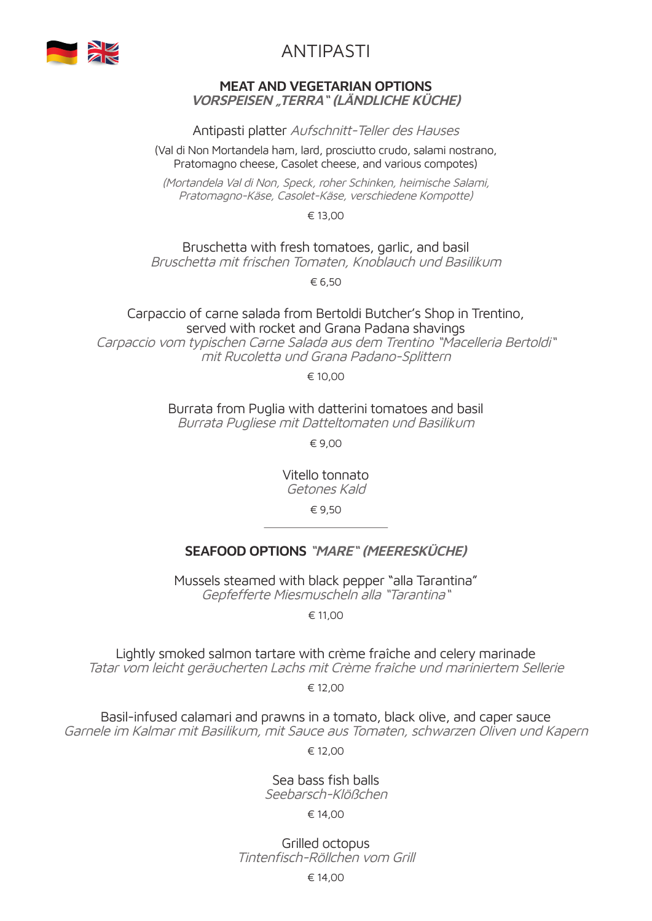

# ANTIPASTI

#### **MEAT AND VEGETARIAN OPTIONS VORSPEISEN "TERRA" (LÄNDLICHE KÜCHE)**

Antipasti platter Aufschnitt-Teller des Hauses

(Val di Non Mortandela ham, lard, prosciutto crudo, salami nostrano, Pratomagno cheese, Casolet cheese, and various compotes)

(Mortandela Val di Non, Speck, roher Schinken, heimische Salami, Pratomagno-Käse, Casolet-Käse, verschiedene Kompotte)

€ 13,00

Bruschetta with fresh tomatoes, garlic, and basil

Bruschetta mit frischen Tomaten, Knoblauch und Basilikum

€ 6,50

Carpaccio of carne salada from Bertoldi Butcher's Shop in Trentino, served with rocket and Grana Padana shavings Carpaccio vom typischen Carne Salada aus dem Trentino "Macelleria Bertoldi" mit Rucoletta und Grana Padano-Splittern

€ 10,00

Burrata from Puglia with datterini tomatoes and basil Burrata Pugliese mit Datteltomaten und Basilikum

€ 9,00

Vitello tonnato Getones Kald

€ 9,50

### **SEAFOOD OPTIONS "MARE" (MEERESKÜCHE)**

Mussels steamed with black pepper "alla Tarantina" Gepfefferte Miesmuscheln alla "Tarantina"

€ 11,00

Lightly smoked salmon tartare with crème fraîche and celery marinade Tatar vom leicht geräucherten Lachs mit Crème fraîche und mariniertem Sellerie

€ 12,00

Basil-infused calamari and prawns in a tomato, black olive, and caper sauce Garnele im Kalmar mit Basilikum, mit Sauce aus Tomaten, schwarzen Oliven und Kapern

€ 12,00

Sea bass fish balls Seebarsch-Klößchen

€ 14,00

Grilled octopus Tintenfisch-Röllchen vom Grill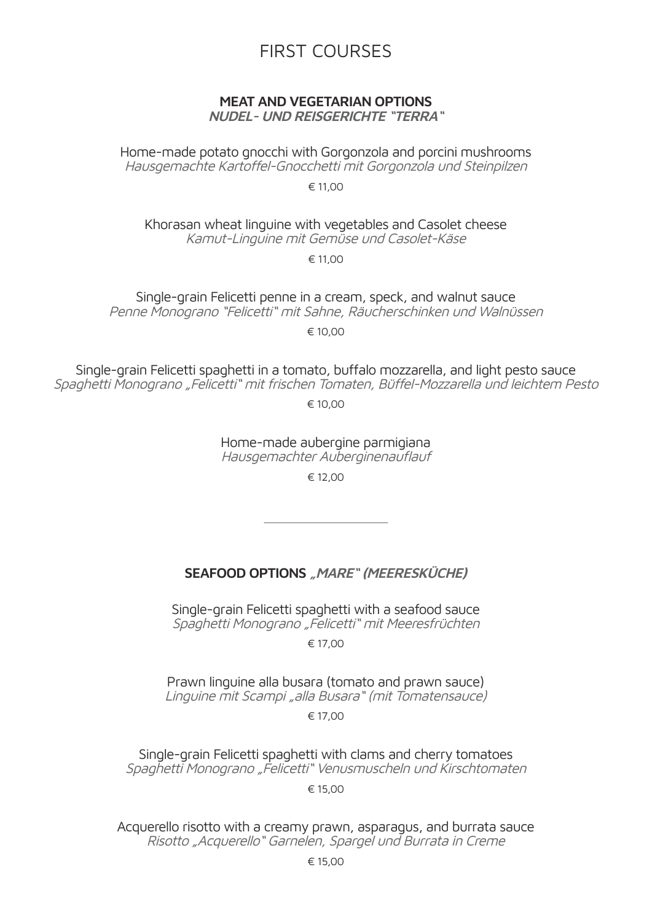# FIRST COURSES

# **MEAT AND VEGETARIAN OPTIONS**

**NUDEL- UND REISGERICHTE "TERRA"**

Home-made potato gnocchi with Gorgonzola and porcini mushrooms Hausgemachte Kartoffel-Gnocchetti mit Gorgonzola und Steinpilzen

€ 11,00

Khorasan wheat linguine with vegetables and Casolet cheese Kamut-Linguine mit Gemüse und Casolet-Käse

€ 11,00

Single-grain Felicetti penne in a cream, speck, and walnut sauce Penne Monograno "Felicetti" mit Sahne, Räucherschinken und Walnüssen

 $∈ 10,00$ 

Single-grain Felicetti spaghetti in a tomato, buffalo mozzarella, and light pesto sauce Spaghetti Monograno "Felicetti" mit frischen Tomaten, Büffel-Mozzarella und leichtem Pesto

€ 10,00

Home-made aubergine parmigiana

Hausgemachter Auberginenauflauf

 $∈ 12,00$ 

#### **SEAFOOD OPTIONS "MARE" (MEERESKÜCHE)**

Single-grain Felicetti spaghetti with a seafood sauce Spaghetti Monograno "Felicetti" mit Meeresfrüchten

€ 17,00

Prawn linguine alla busara (tomato and prawn sauce) Linguine mit Scampi "alla Busara" (mit Tomatensauce)

€ 17,00

Single-grain Felicetti spaghetti with clams and cherry tomatoes Spaghetti Monograno "Felicetti" Venusmuscheln und Kirschtomaten

€ 15,00

Acquerello risotto with a creamy prawn, asparagus, and burrata sauce Risotto "Acquerello" Garnelen, Spargel und Burrata in Creme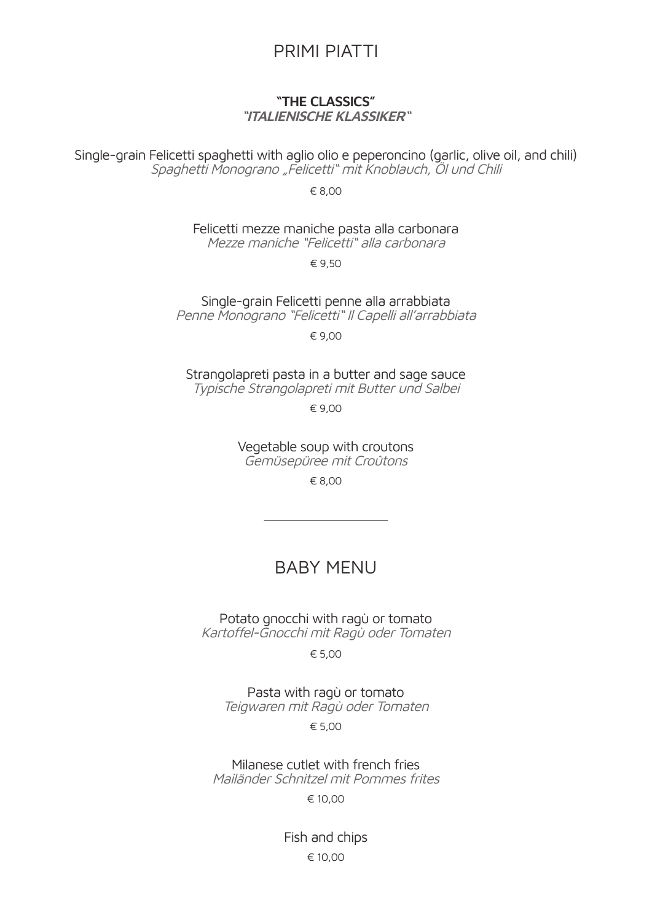# PRIMI PIATTI

#### **"THE CLASSICS" "ITALIENISCHE KLASSIKER"**

Single-grain Felicetti spaghetti with aglio olio e peperoncino (garlic, olive oil, and chili) Spaghetti Monograno "Felicetti" mit Knoblauch, Öl und Chili

€ 8,00

Felicetti mezze maniche pasta alla carbonara Mezze maniche "Felicetti" alla carbonara

€ 9,50

Single-grain Felicetti penne alla arrabbiata Penne Monograno "Felicetti" Il Capelli all'arrabbiata

€ 9,00

Strangolapreti pasta in a butter and sage sauce Typische Strangolapreti mit Butter und Salbei

€ 9,00

Vegetable soup with croutons Gemüsepüree mit Croûtons

€ 8,00

# BABY MENU

Potato gnocchi with ragù or tomato Kartoffel-Gnocchi mit Ragù oder Tomaten

€ 5,00

Pasta with ragù or tomato Teigwaren mit Ragù oder Tomaten

€ 5,00

Milanese cutlet with french fries Mailänder Schnitzel mit Pommes frites

€ 10,00

Fish and chips € 10,00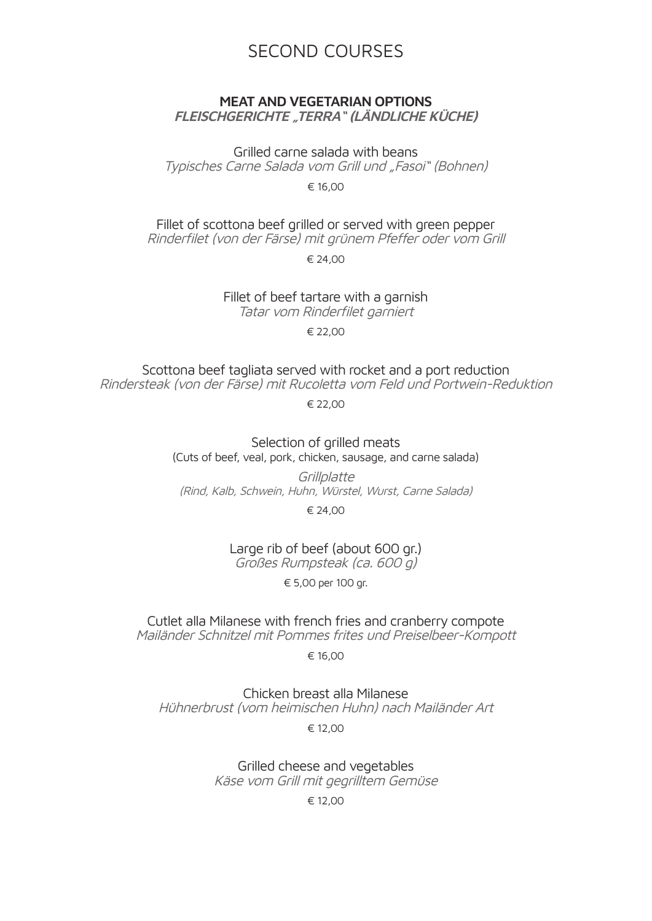# SECOND COURSES

#### **MEAT AND VEGETARIAN OPTIONS FLEISCHGERICHTE "TERRA" (LÄNDLICHE KÜCHE)**

Grilled carne salada with beans

Typisches Carne Salada vom Grill und "Fasoi" (Bohnen)

€ 16,00

Fillet of scottona beef grilled or served with green pepper

Rinderfilet (von der Färse) mit grünem Pfeffer oder vom Grill

€ 24,00

Fillet of beef tartare with a garnish

Tatar vom Rinderfilet garniert

€ 22,00

Scottona beef tagliata served with rocket and a port reduction Rindersteak (von der Färse) mit Rucoletta vom Feld und Portwein-Reduktion

€ 22,00

Selection of grilled meats (Cuts of beef, veal, pork, chicken, sausage, and carne salada)

**Grillplatte** (Rind, Kalb, Schwein, Huhn, Würstel, Wurst, Carne Salada)

€ 24,00

Large rib of beef (about 600 gr.) Großes Rumpsteak (ca. 600 g)

€ 5,00 per 100 gr.

Cutlet alla Milanese with french fries and cranberry compote Mailänder Schnitzel mit Pommes frites und Preiselbeer-Kompott

€ 16,00

Chicken breast alla Milanese Hühnerbrust (vom heimischen Huhn) nach Mailänder Art

€ 12,00

Grilled cheese and vegetables Käse vom Grill mit gegrilltem Gemüse

€ 12,00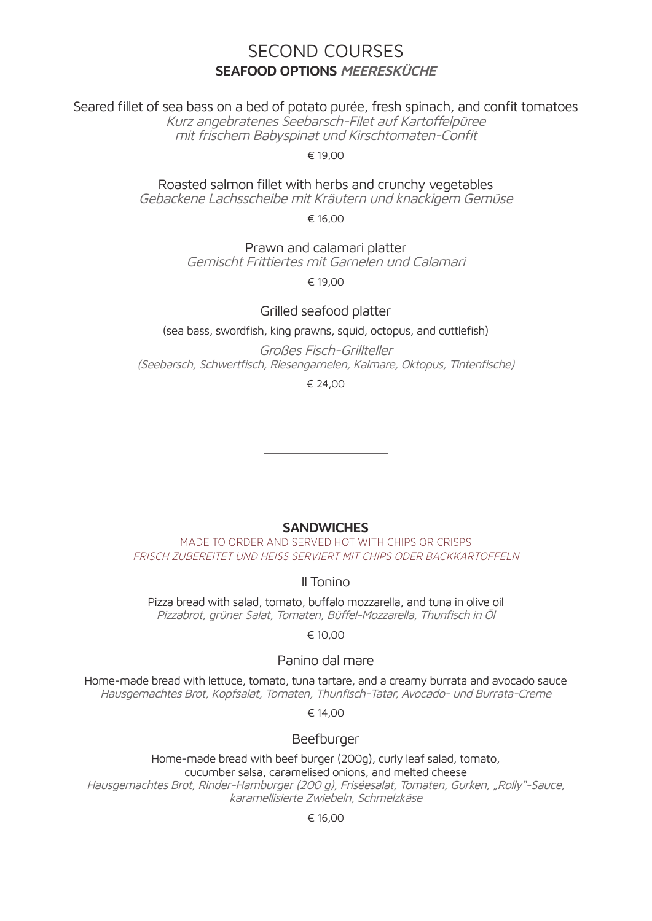## SECOND COURSES **SEAFOOD OPTIONS MEERESKÜCHE**

Seared fillet of sea bass on a bed of potato purée, fresh spinach, and confit tomatoes

Kurz angebratenes Seebarsch-Filet auf Kartoffelpüree mit frischem Babyspinat und Kirschtomaten-Confit

€ 19,00

Roasted salmon fillet with herbs and crunchy vegetables Gebackene Lachsscheibe mit Kräutern und knackigem Gemüse

€ 16,00

Prawn and calamari platter Gemischt Frittiertes mit Garnelen und Calamari

 $£ 19,00$ 

#### Grilled seafood platter

(sea bass, swordfish, king prawns, squid, octopus, and cuttlefish)

Großes Fisch-Grillteller (Seebarsch, Schwertfisch, Riesengarnelen, Kalmare, Oktopus, Tintenfische)

€ 24,00

#### **SANDWICHES**

MADE TO ORDER AND SERVED HOT WITH CHIPS OR CRISPS FRISCH ZUBEREITET UND HEISS SERVIERT MIT CHIPS ODER BACKKARTOFFELN

#### Il Tonino

Pizza bread with salad, tomato, buffalo mozzarella, and tuna in olive oil Pizzabrot, grüner Salat, Tomaten, Büffel-Mozzarella, Thunfisch in Öl

€ 10,00

#### Panino dal mare

Home-made bread with lettuce, tomato, tuna tartare, and a creamy burrata and avocado sauce Hausgemachtes Brot, Kopfsalat, Tomaten, Thunfisch-Tatar, Avocado- und Burrata-Creme

€ 14,00

#### Beefburger

Home-made bread with beef burger (200g), curly leaf salad, tomato, cucumber salsa, caramelised onions, and melted cheese Hausgemachtes Brot, Rinder-Hamburger (200 g), Friséesalat, Tomaten, Gurken, "Rolly"-Sauce, karamellisierte Zwiebeln, Schmelzkäse

#### € 16,00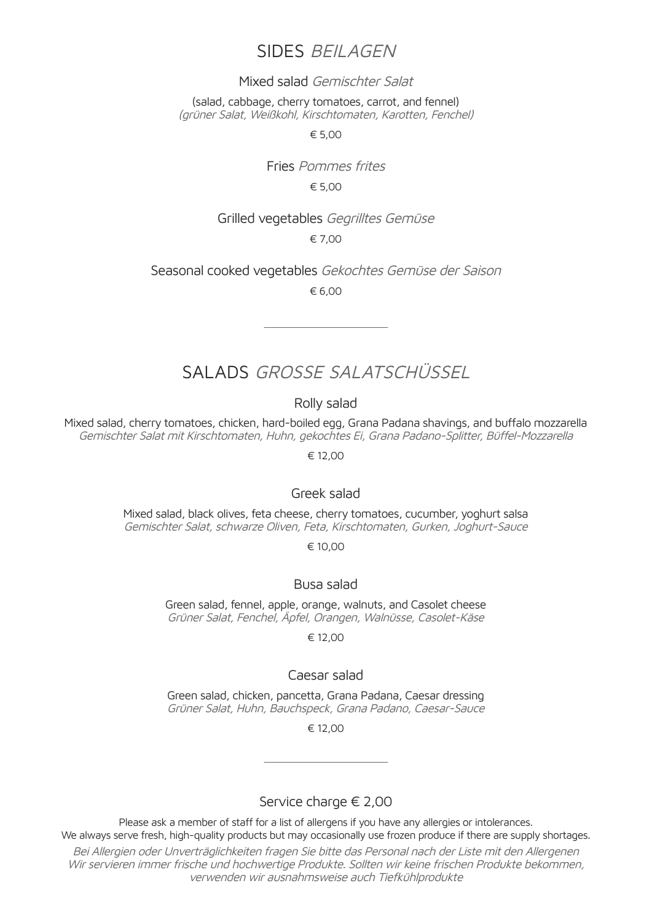# SIDES BEILAGEN

#### Mixed salad Gemischter Salat

(salad, cabbage, cherry tomatoes, carrot, and fennel) (grüner Salat, Weißkohl, Kirschtomaten, Karotten, Fenchel)

€ 5,00

Fries Pommes frites € 5,00

#### Grilled vegetables Gegrilltes Gemüse

€ 7,00

Seasonal cooked vegetables Gekochtes Gemüse der Saison € 6,00

# SALADS GROSSE SALATSCHÜSSEL

Rolly salad

Mixed salad, cherry tomatoes, chicken, hard-boiled egg, Grana Padana shavings, and buffalo mozzarella Gemischter Salat mit Kirschtomaten, Huhn, gekochtes Ei, Grana Padano-Splitter, Büffel-Mozzarella

€ 12,00

#### Greek salad

Mixed salad, black olives, feta cheese, cherry tomatoes, cucumber, yoghurt salsa Gemischter Salat, schwarze Oliven, Feta, Kirschtomaten, Gurken, Joghurt-Sauce

€ 10,00

#### Busa salad

Green salad, fennel, apple, orange, walnuts, and Casolet cheese Grüner Salat, Fenchel, Äpfel, Orangen, Walnüsse, Casolet-Käse

€ 12,00

#### Caesar salad

Green salad, chicken, pancetta, Grana Padana, Caesar dressing Grüner Salat, Huhn, Bauchspeck, Grana Padano, Caesar-Sauce

€ 12,00

#### Service charge € 2,00

Please ask a member of staff for a list of allergens if you have any allergies or intolerances. We always serve fresh, high-quality products but may occasionally use frozen produce if there are supply shortages. Bei Allergien oder Unverträglichkeiten fragen Sie bitte das Personal nach der Liste mit den Allergenen Wir servieren immer frische und hochwertige Produkte. Sollten wir keine frischen Produkte bekommen, verwenden wir ausnahmsweise auch Tiefkühlprodukte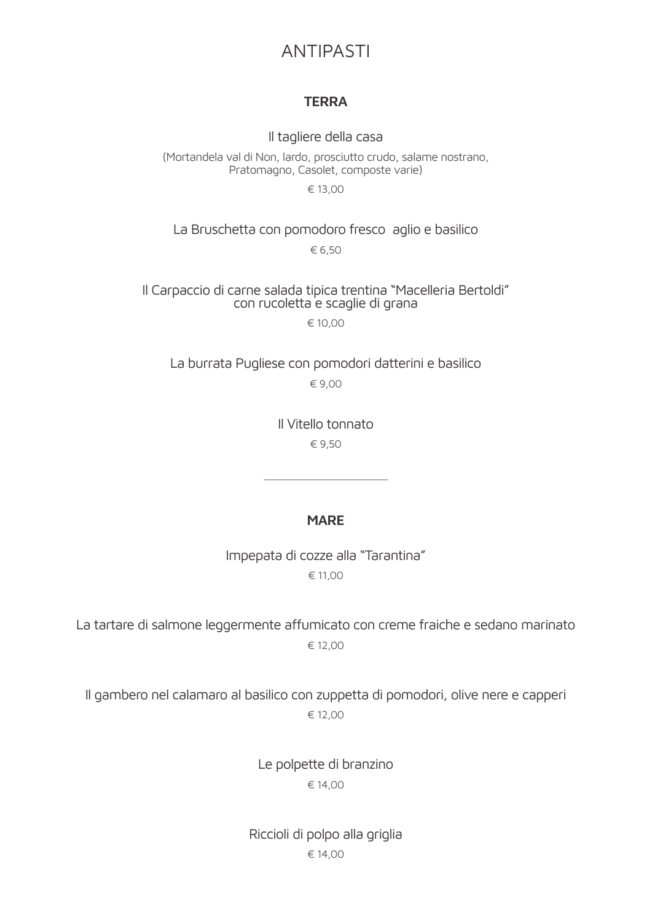# ANTIPASTI

#### **TERRA**

Il tagliere della casa

(Mortandela val di Non, lardo, prosciutto crudo, salame nostrano, Pratomagno, Casolet, composte varie)

€ 13,00

#### La Bruschetta con pomodoro fresco aglio e basilico € 6,50

# Il Carpaccio di carne salada tipica trentina "Macelleria Bertoldi" con rucoletta e scaglie di grana

€ 10,00

La burrata Pugliese con pomodori datterini e basilico € 9,00

> Il Vitello tonnato € 9,50

#### **MARE**

Impepata di cozze alla "Tarantina" € 11,00

La tartare di salmone leggermente affumicato con creme fraiche e sedano marinato € 12,00

Il gambero nel calamaro al basilico con zuppetta di pomodori, olive nere e capperi € 12,00

> Le polpette di branzino € 14,00

Riccioli di polpo alla griglia € 14,00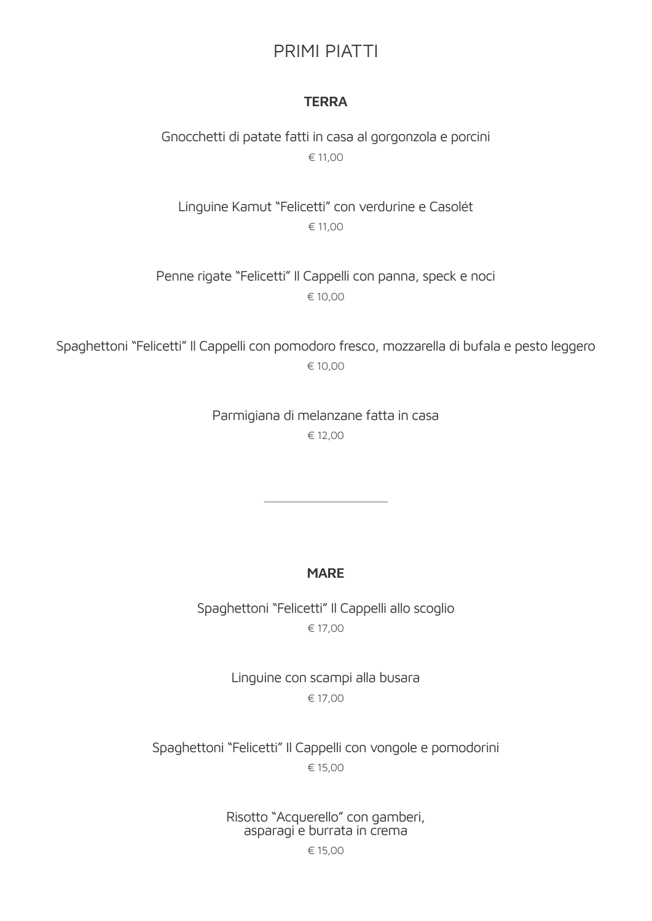# PRIMI PIATTI

#### **TERRA**

Gnocchetti di patate fatti in casa al gorgonzola e porcini € 11,00

Linguine Kamut "Felicetti" con verdurine e Casolét € 11,00

Penne rigate "Felicetti" Il Cappelli con panna, speck e noci € 10,00

Spaghettoni "Felicetti" Il Cappelli con pomodoro fresco, mozzarella di bufala e pesto leggero € 10,00

> Parmigiana di melanzane fatta in casa € 12,00

#### **MARE**

Spaghettoni "Felicetti" Il Cappelli allo scoglio € 17,00

> Linguine con scampi alla busara € 17,00

Spaghettoni "Felicetti" Il Cappelli con vongole e pomodorini € 15,00

Risotto "Acquerello" con gamberi, asparagi e burrata in crema

€ 15,00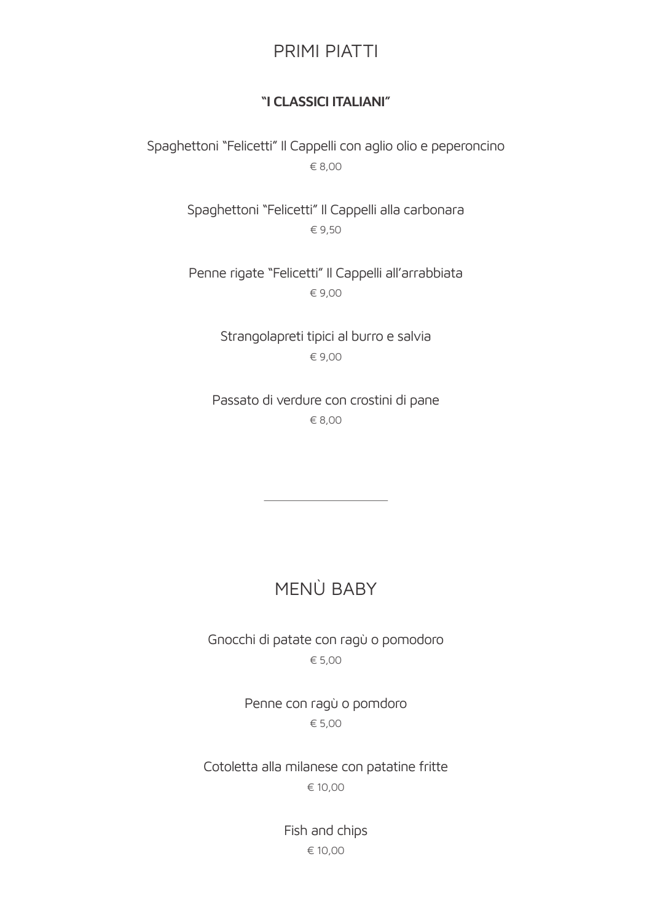# PRIMI PIATTI

#### **"I CLASSICI ITALIANI"**

Spaghettoni "Felicetti" Il Cappelli con aglio olio e peperoncino € 8,00

> Spaghettoni "Felicetti" Il Cappelli alla carbonara € 9,50

> Penne rigate "Felicetti" Il Cappelli all'arrabbiata € 9,00

> > Strangolapreti tipici al burro e salvia € 9,00

Passato di verdure con crostini di pane € 8,00

# MENÙ BABY

Gnocchi di patate con ragù o pomodoro € 5,00

> Penne con ragù o pomdoro € 5,00

Cotoletta alla milanese con patatine fritte € 10,00

> Fish and chips € 10,00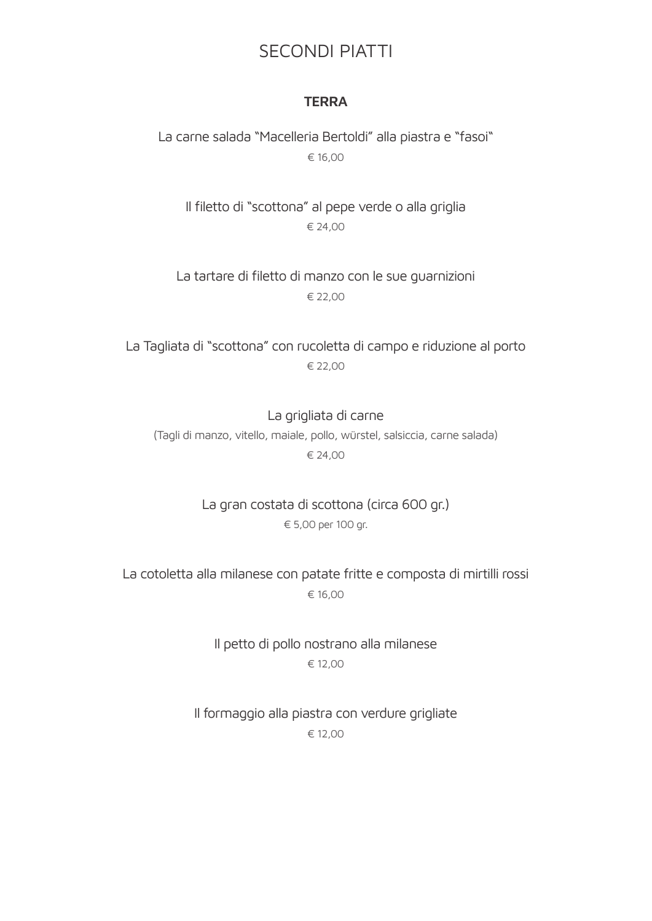# SECONDI PIATTI

#### **TERRA**

La carne salada "Macelleria Bertoldi" alla piastra e "fasoi" € 16,00

Il filetto di "scottona" al pepe verde o alla griglia € 24,00

La tartare di filetto di manzo con le sue guarnizioni € 22,00

La Tagliata di "scottona" con rucoletta di campo e riduzione al porto € 22,00

La grigliata di carne (Tagli di manzo, vitello, maiale, pollo, würstel, salsiccia, carne salada) € 24,00

> La gran costata di scottona (circa 600 gr.) € 5,00 per 100 gr.

La cotoletta alla milanese con patate fritte e composta di mirtilli rossi € 16,00

> Il petto di pollo nostrano alla milanese € 12,00

Il formaggio alla piastra con verdure grigliate € 12,00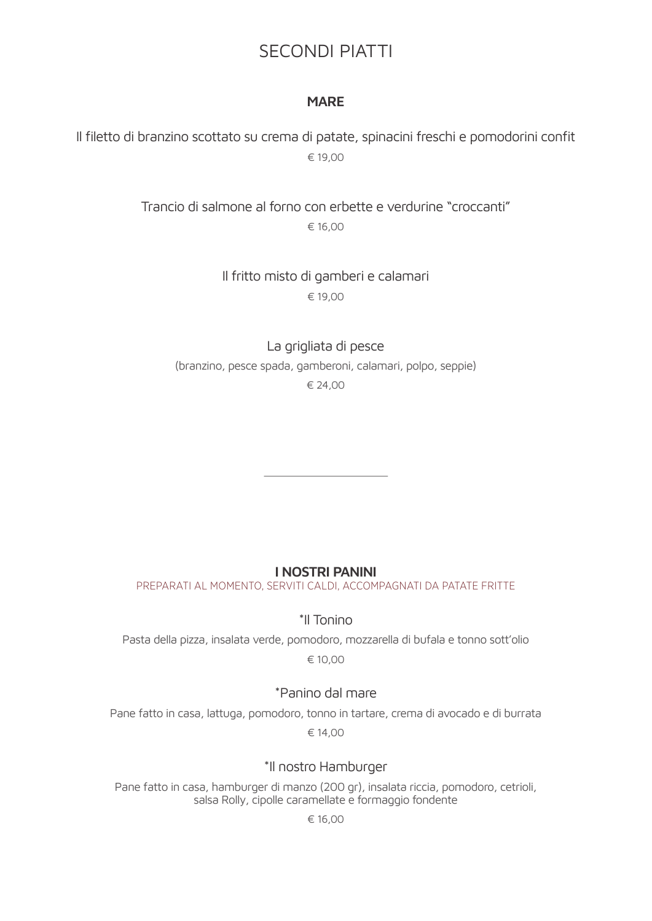# SECONDI PIATTI

#### **MARE**

Il filetto di branzino scottato su crema di patate, spinacini freschi e pomodorini confit € 19,00

> Trancio di salmone al forno con erbette e verdurine "croccanti" € 16,00

> > Il fritto misto di gamberi e calamari € 19,00

> > > La grigliata di pesce

(branzino, pesce spada, gamberoni, calamari, polpo, seppie) € 24,00

#### **I NOSTRI PANINI**

PREPARATI AL MOMENTO, SERVITI CALDI, ACCOMPAGNATI DA PATATE FRITTE

\*Il Tonino

Pasta della pizza, insalata verde, pomodoro, mozzarella di bufala e tonno sott'olio € 10,00

#### \*Panino dal mare

Pane fatto in casa, lattuga, pomodoro, tonno in tartare, crema di avocado e di burrata € 14,00

#### \*Il nostro Hamburger

Pane fatto in casa, hamburger di manzo (200 gr), insalata riccia, pomodoro, cetrioli, salsa Rolly, cipolle caramellate e formaggio fondente

€ 16,00